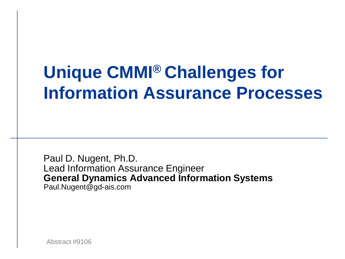#### **Unique CMMI® Challenges for Information Assurance Processes**

Paul D. Nugent, Ph.D. Lead Information Assurance Engineer **General Dynamics Advanced Information Systems** Paul.Nugent@gd-ais.com

Abstract #9106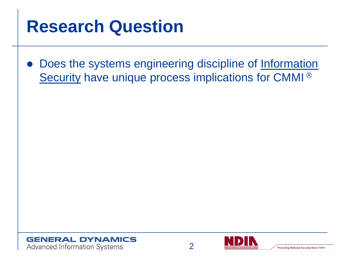#### **Research Question**

• Does the systems engineering discipline of Information Security have unique process implications for CMMI ®





**Promoting National Security Since 1919**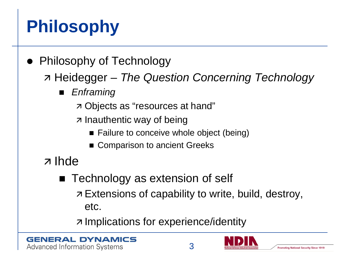# **Philosophy**

- Philosophy of Technology
	- Heidegger *The Question Concerning Technology*
		- *Enframing*
			- Objects as "resources at hand"
			- $\overline{z}$  Inauthentic way of being
				- Failure to conceive whole object (being)
				- Comparison to ancient Greeks
	- z Ihde
		- Technology as extension of self
			- z Extensions of capability to write, build, destroy, etc.

z Implications for experience/identity



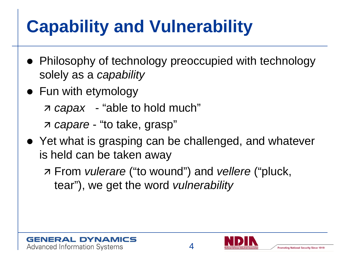# **Capability and Vulnerability**

- Philosophy of technology preoccupied with technology solely as a *capability*
- Fun with etymology
	- *capax* "able to hold much"

*capare* - "to take, grasp"

- Yet what is grasping can be challenged, and whatever is held can be taken away
	- From *vulerare* ("to wound") and *vellere* ("pluck, tear"), we get the word *vulnerability*



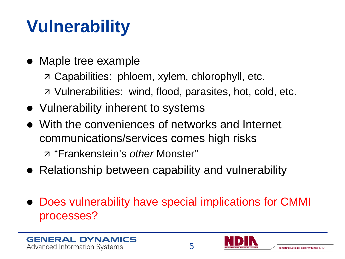# **Vulnerability**

- Maple tree example
	- Capabilities: phloem, xylem, chlorophyll, etc.
	- Vulnerabilities: wind, flood, parasites, hot, cold, etc.
- Vulnerability inherent to systems
- With the conveniences of networks and Internet communications/services comes high risks
	- "Frankenstein's *other* Monster"
- Relationship between capability and vulnerability
- Does vulnerability have special implications for CMMI processes?



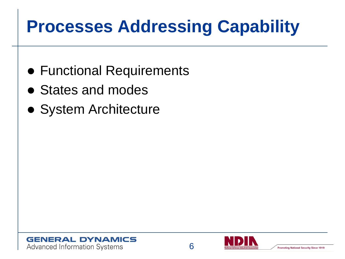#### **Processes Addressing Capability**

- Functional Requirements
- States and modes
- System Architecture



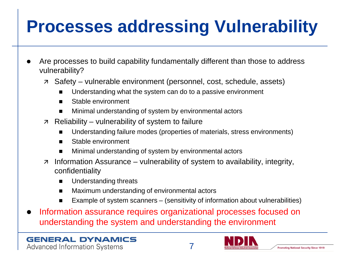# **Processes addressing Vulnerability**

- Are processes to build capability fundamentally different than those to address vulnerability?
	- Safety vulnerable environment (personnel, cost, schedule, assets)
		- Understanding what the system can do to a passive environment
		- Stable environment
		- Minimal understanding of system by environmental actors
	- $\overline{z}$  Reliability vulnerability of system to failure
		- Understanding failure modes (properties of materials, stress environments)
		- Stable environment
		- Minimal understanding of system by environmental actors
	- $\overline{z}$  Information Assurance vulnerability of system to availability, integrity, confidentiality
		- Understanding threats
		- Maximum understanding of environmental actors
		- Example of system scanners (sensitivity of information about vulnerabilities)
- Information assurance requires organizational processes focused on understanding the system and understanding the environment

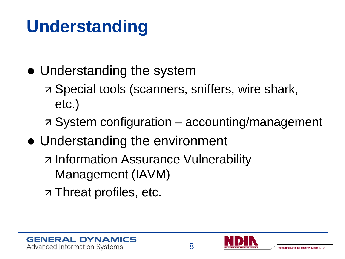## **Understanding**

- Understanding the system
	- Special tools (scanners, sniffers, wire shark, etc.)
	- System configuration accounting/management
- Understanding the environment
	- z Information Assurance Vulnerability Management (IAVM)
	- z Threat profiles, etc.



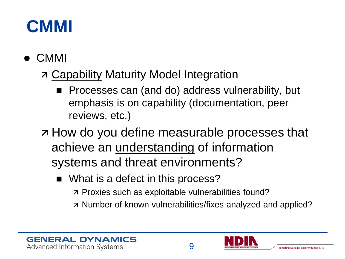#### **CMMI**

CMMI

#### **7 Capability Maturity Model Integration**

- **Processes can (and do) address vulnerability, but** emphasis is on capability (documentation, peer reviews, etc.)
- **France Strance in A How do you define measurable processes that** achieve an understanding of information systems and threat environments?
	- What is a defect in this process?
		- Proxies such as exploitable vulnerabilities found?
		- z Number of known vulnerabilities/fixes analyzed and applied?



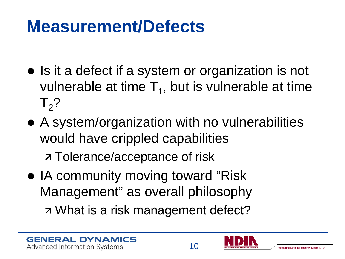#### **Measurement/Defects**

- Is it a defect if a system or organization is not vulnerable at time  $T_1$ , but is vulnerable at time  $T<sub>2</sub>$ ?
- A system/organization with no vulnerabilities would have crippled capabilities

z Tolerance/acceptance of risk

• IA community moving toward "Risk" Management" as overall philosophy What is a risk management defect?



10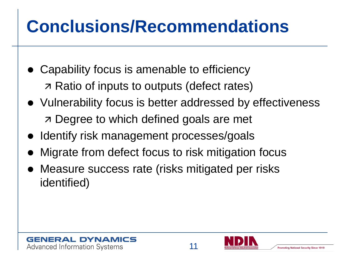### **Conclusions/Recommendations**

- Capability focus is amenable to efficiency Ratio of inputs to outputs (defect rates)
- Vulnerability focus is better addressed by effectiveness **7 Degree to which defined goals are met**
- Identify risk management processes/goals
- Migrate from defect focus to risk mitigation focus
- Measure success rate (risks mitigated per risks identified)



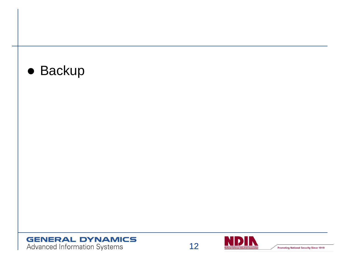